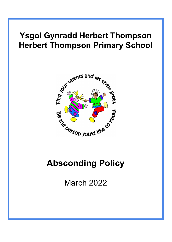# **Ysgol Gynradd Herbert Thompson Herbert Thompson Primary School**



March 2022